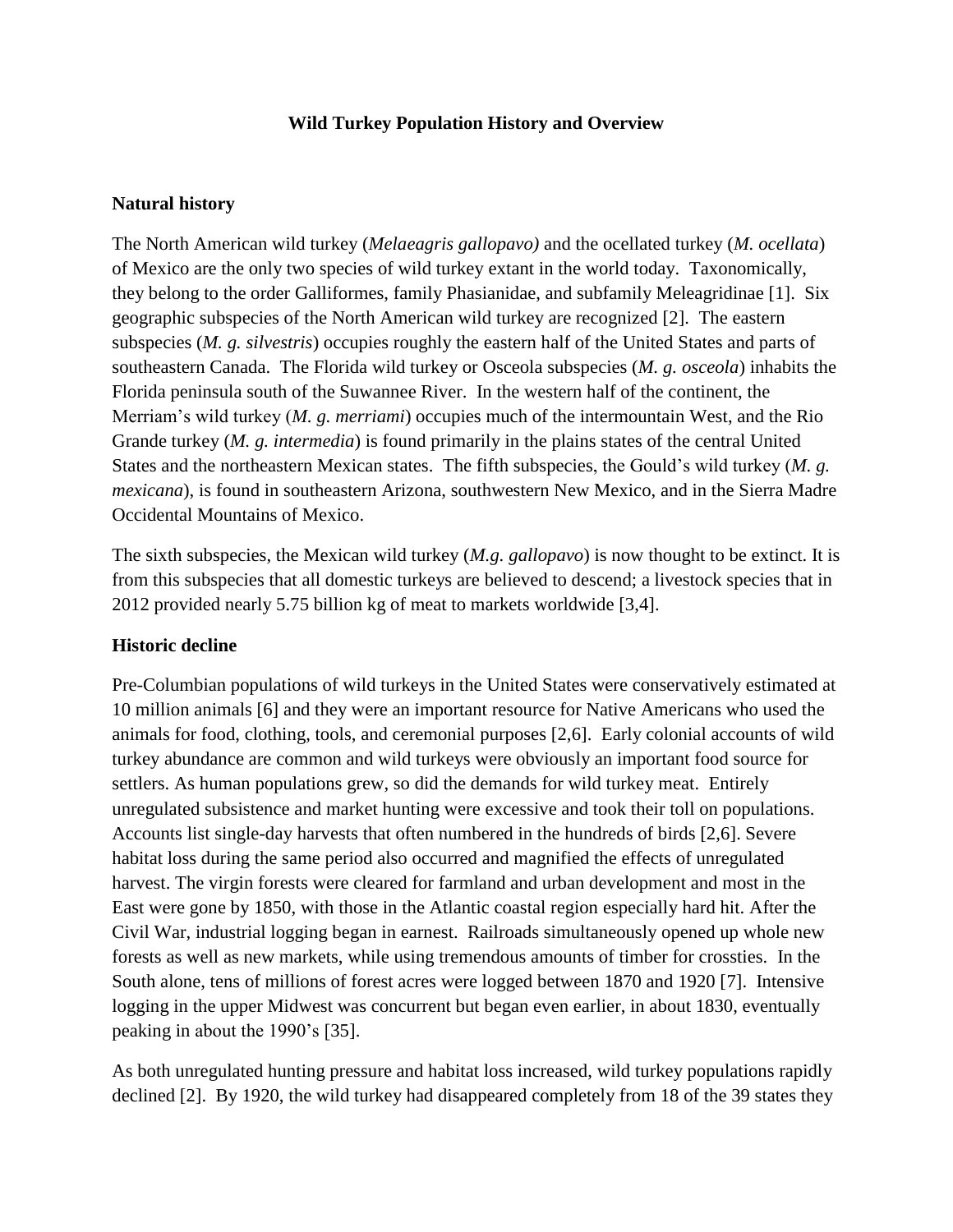## **Wild Turkey Population History and Overview**

## **Natural history**

The North American wild turkey (*Melaeagris gallopavo)* and the ocellated turkey (*M. ocellata*) of Mexico are the only two species of wild turkey extant in the world today. Taxonomically, they belong to the order Galliformes, family Phasianidae, and subfamily Meleagridinae [1]. Six geographic subspecies of the North American wild turkey are recognized [2]. The eastern subspecies (*M. g. silvestris*) occupies roughly the eastern half of the United States and parts of southeastern Canada. The Florida wild turkey or Osceola subspecies (*M. g. osceola*) inhabits the Florida peninsula south of the Suwannee River. In the western half of the continent, the Merriam's wild turkey (*M. g. merriami*) occupies much of the intermountain West, and the Rio Grande turkey (*M. g. intermedia*) is found primarily in the plains states of the central United States and the northeastern Mexican states. The fifth subspecies, the Gould's wild turkey (*M. g. mexicana*), is found in southeastern Arizona, southwestern New Mexico, and in the Sierra Madre Occidental Mountains of Mexico.

The sixth subspecies, the Mexican wild turkey (*M.g. gallopavo*) is now thought to be extinct. It is from this subspecies that all domestic turkeys are believed to descend; a livestock species that in 2012 provided nearly 5.75 billion kg of meat to markets worldwide [3,4].

## **Historic decline**

Pre-Columbian populations of wild turkeys in the United States were conservatively estimated at 10 million animals [6] and they were an important resource for Native Americans who used the animals for food, clothing, tools, and ceremonial purposes [2,6]. Early colonial accounts of wild turkey abundance are common and wild turkeys were obviously an important food source for settlers. As human populations grew, so did the demands for wild turkey meat. Entirely unregulated subsistence and market hunting were excessive and took their toll on populations. Accounts list single-day harvests that often numbered in the hundreds of birds [2,6]. Severe habitat loss during the same period also occurred and magnified the effects of unregulated harvest. The virgin forests were cleared for farmland and urban development and most in the East were gone by 1850, with those in the Atlantic coastal region especially hard hit. After the Civil War, industrial logging began in earnest. Railroads simultaneously opened up whole new forests as well as new markets, while using tremendous amounts of timber for crossties. In the South alone, tens of millions of forest acres were logged between 1870 and 1920 [7]. Intensive logging in the upper Midwest was concurrent but began even earlier, in about 1830, eventually peaking in about the 1990's [35].

As both unregulated hunting pressure and habitat loss increased, wild turkey populations rapidly declined [2]. By 1920, the wild turkey had disappeared completely from 18 of the 39 states they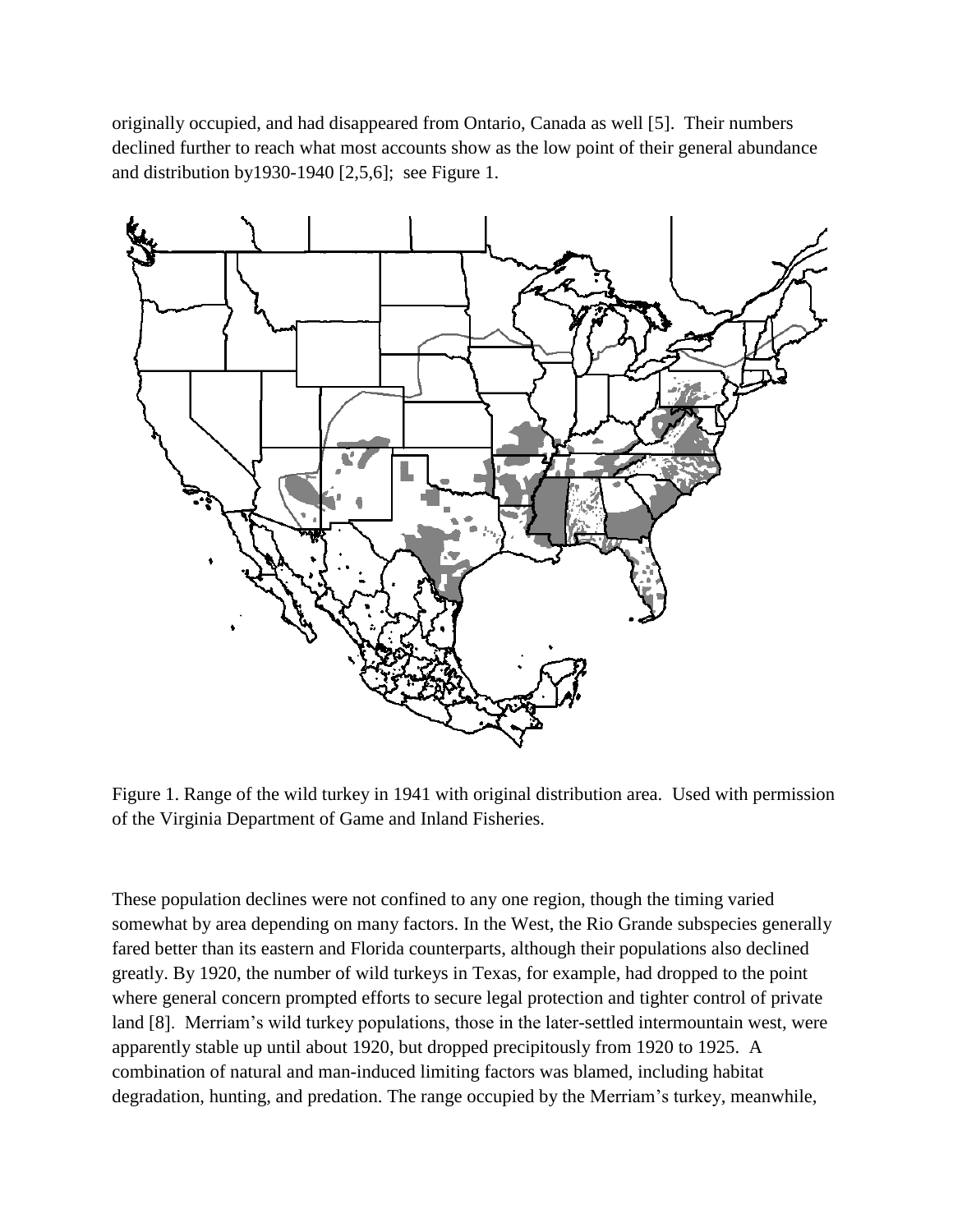originally occupied, and had disappeared from Ontario, Canada as well [5]. Their numbers declined further to reach what most accounts show as the low point of their general abundance and distribution by1930-1940 [2,5,6]; see Figure 1.



Figure 1. Range of the wild turkey in 1941 with original distribution area. Used with permission of the Virginia Department of Game and Inland Fisheries.

These population declines were not confined to any one region, though the timing varied somewhat by area depending on many factors. In the West, the Rio Grande subspecies generally fared better than its eastern and Florida counterparts, although their populations also declined greatly. By 1920, the number of wild turkeys in Texas, for example, had dropped to the point where general concern prompted efforts to secure legal protection and tighter control of private land [8]. Merriam's wild turkey populations, those in the later-settled intermountain west, were apparently stable up until about 1920, but dropped precipitously from 1920 to 1925. A combination of natural and man-induced limiting factors was blamed, including habitat degradation, hunting, and predation. The range occupied by the Merriam's turkey, meanwhile,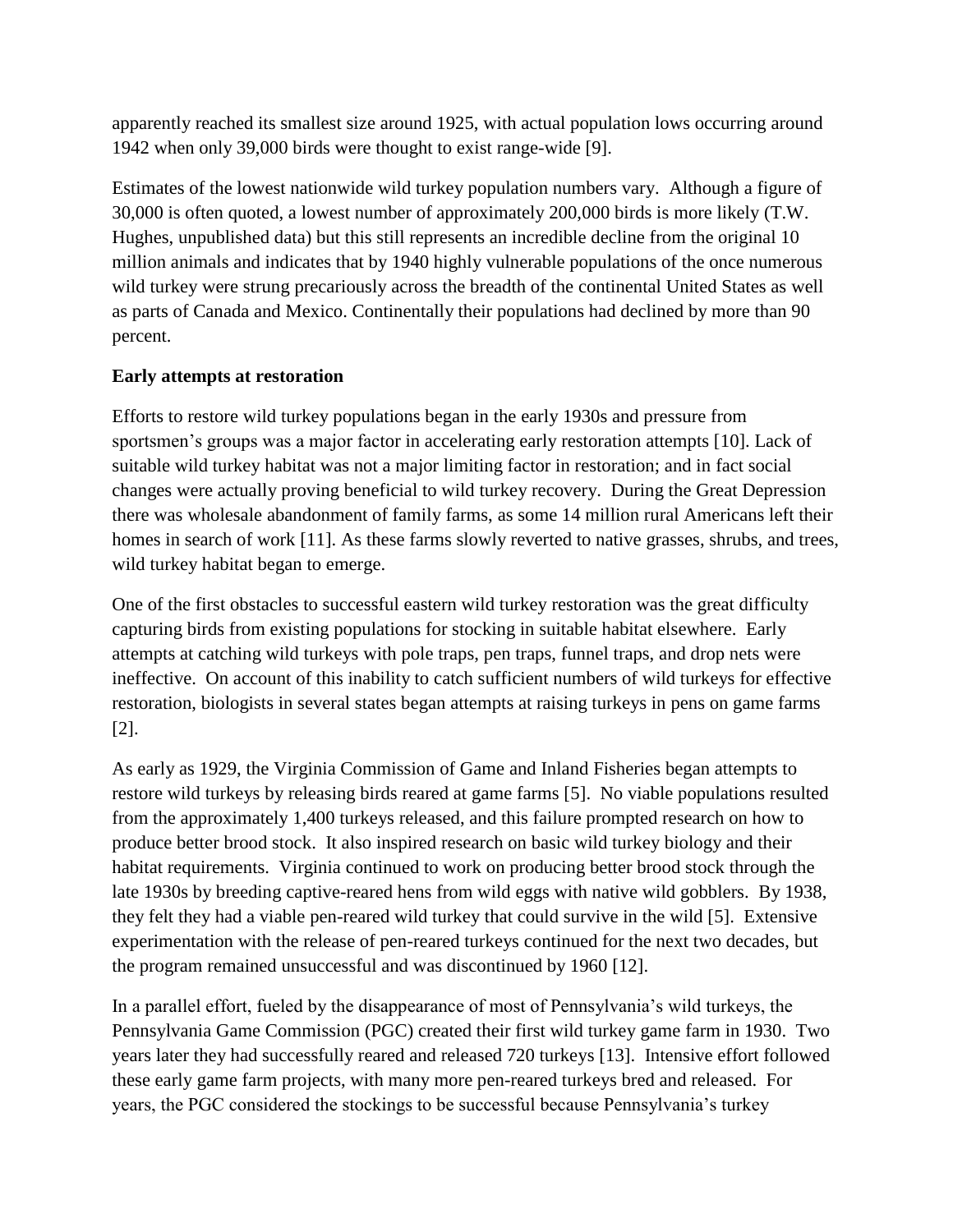apparently reached its smallest size around 1925, with actual population lows occurring around 1942 when only 39,000 birds were thought to exist range-wide [9].

Estimates of the lowest nationwide wild turkey population numbers vary. Although a figure of 30,000 is often quoted, a lowest number of approximately 200,000 birds is more likely (T.W. Hughes, unpublished data) but this still represents an incredible decline from the original 10 million animals and indicates that by 1940 highly vulnerable populations of the once numerous wild turkey were strung precariously across the breadth of the continental United States as well as parts of Canada and Mexico. Continentally their populations had declined by more than 90 percent.

# **Early attempts at restoration**

Efforts to restore wild turkey populations began in the early 1930s and pressure from sportsmen's groups was a major factor in accelerating early restoration attempts [10]. Lack of suitable wild turkey habitat was not a major limiting factor in restoration; and in fact social changes were actually proving beneficial to wild turkey recovery. During the Great Depression there was wholesale abandonment of family farms, as some 14 million rural Americans left their homes in search of work [11]. As these farms slowly reverted to native grasses, shrubs, and trees, wild turkey habitat began to emerge.

One of the first obstacles to successful eastern wild turkey restoration was the great difficulty capturing birds from existing populations for stocking in suitable habitat elsewhere. Early attempts at catching wild turkeys with pole traps, pen traps, funnel traps, and drop nets were ineffective. On account of this inability to catch sufficient numbers of wild turkeys for effective restoration, biologists in several states began attempts at raising turkeys in pens on game farms [2].

As early as 1929, the Virginia Commission of Game and Inland Fisheries began attempts to restore wild turkeys by releasing birds reared at game farms [5]. No viable populations resulted from the approximately 1,400 turkeys released, and this failure prompted research on how to produce better brood stock. It also inspired research on basic wild turkey biology and their habitat requirements. Virginia continued to work on producing better brood stock through the late 1930s by breeding captive-reared hens from wild eggs with native wild gobblers. By 1938, they felt they had a viable pen-reared wild turkey that could survive in the wild [5]. Extensive experimentation with the release of pen-reared turkeys continued for the next two decades, but the program remained unsuccessful and was discontinued by 1960 [12].

In a parallel effort, fueled by the disappearance of most of Pennsylvania's wild turkeys, the Pennsylvania Game Commission (PGC) created their first wild turkey game farm in 1930. Two years later they had successfully reared and released 720 turkeys [13]. Intensive effort followed these early game farm projects, with many more pen-reared turkeys bred and released. For years, the PGC considered the stockings to be successful because Pennsylvania's turkey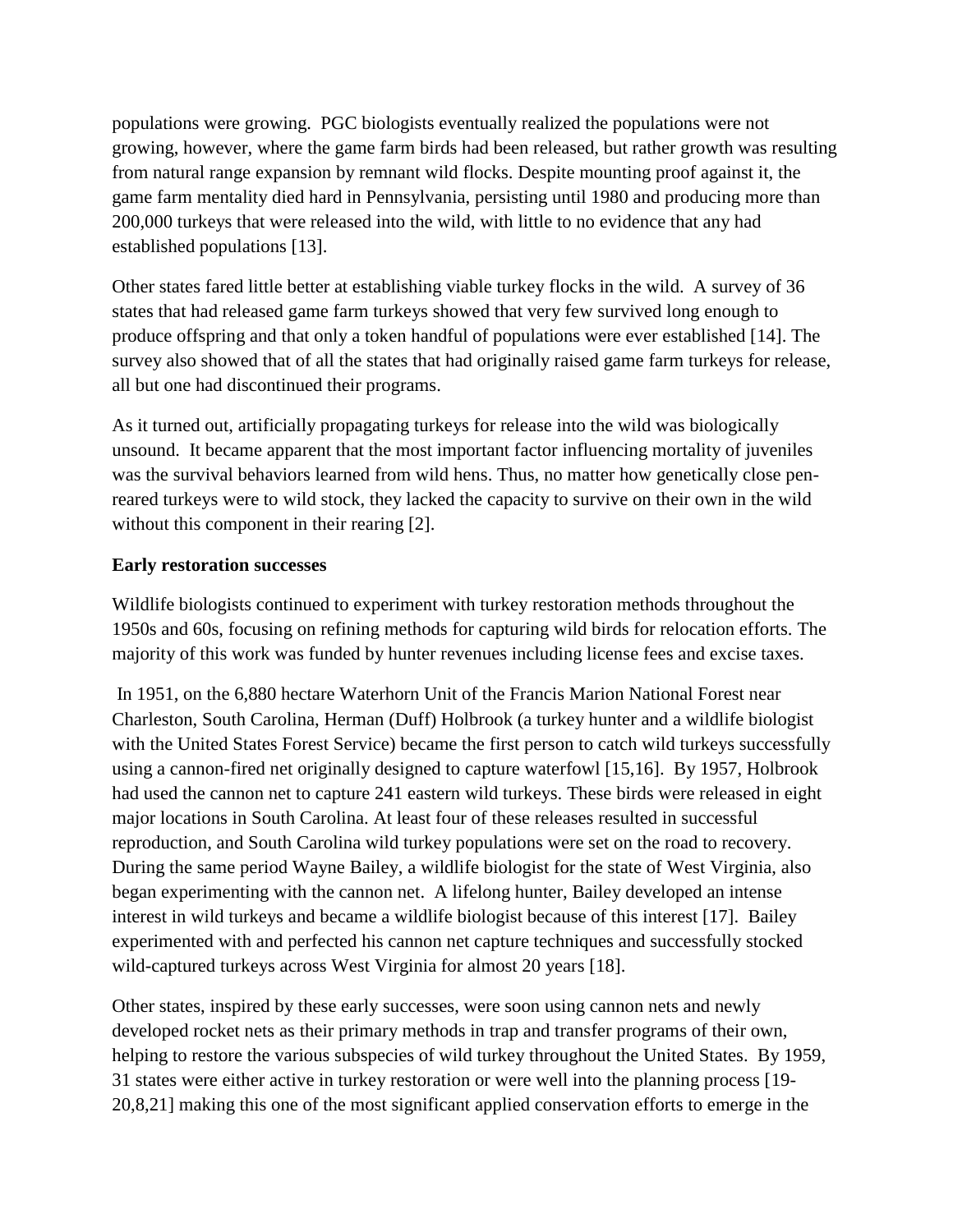populations were growing. PGC biologists eventually realized the populations were not growing, however, where the game farm birds had been released, but rather growth was resulting from natural range expansion by remnant wild flocks. Despite mounting proof against it, the game farm mentality died hard in Pennsylvania, persisting until 1980 and producing more than 200,000 turkeys that were released into the wild, with little to no evidence that any had established populations [13].

Other states fared little better at establishing viable turkey flocks in the wild. A survey of 36 states that had released game farm turkeys showed that very few survived long enough to produce offspring and that only a token handful of populations were ever established [14]. The survey also showed that of all the states that had originally raised game farm turkeys for release, all but one had discontinued their programs.

As it turned out, artificially propagating turkeys for release into the wild was biologically unsound. It became apparent that the most important factor influencing mortality of juveniles was the survival behaviors learned from wild hens. Thus, no matter how genetically close penreared turkeys were to wild stock, they lacked the capacity to survive on their own in the wild without this component in their rearing [2].

## **Early restoration successes**

Wildlife biologists continued to experiment with turkey restoration methods throughout the 1950s and 60s, focusing on refining methods for capturing wild birds for relocation efforts. The majority of this work was funded by hunter revenues including license fees and excise taxes.

In 1951, on the 6,880 hectare Waterhorn Unit of the Francis Marion National Forest near Charleston, South Carolina, Herman (Duff) Holbrook (a turkey hunter and a wildlife biologist with the United States Forest Service) became the first person to catch wild turkeys successfully using a cannon-fired net originally designed to capture waterfowl [15,16]. By 1957, Holbrook had used the cannon net to capture 241 eastern wild turkeys. These birds were released in eight major locations in South Carolina. At least four of these releases resulted in successful reproduction, and South Carolina wild turkey populations were set on the road to recovery. During the same period Wayne Bailey, a wildlife biologist for the state of West Virginia, also began experimenting with the cannon net. A lifelong hunter, Bailey developed an intense interest in wild turkeys and became a wildlife biologist because of this interest [17]. Bailey experimented with and perfected his cannon net capture techniques and successfully stocked wild-captured turkeys across West Virginia for almost 20 years [18].

Other states, inspired by these early successes, were soon using cannon nets and newly developed rocket nets as their primary methods in trap and transfer programs of their own, helping to restore the various subspecies of wild turkey throughout the United States. By 1959, 31 states were either active in turkey restoration or were well into the planning process [19- 20,8,21] making this one of the most significant applied conservation efforts to emerge in the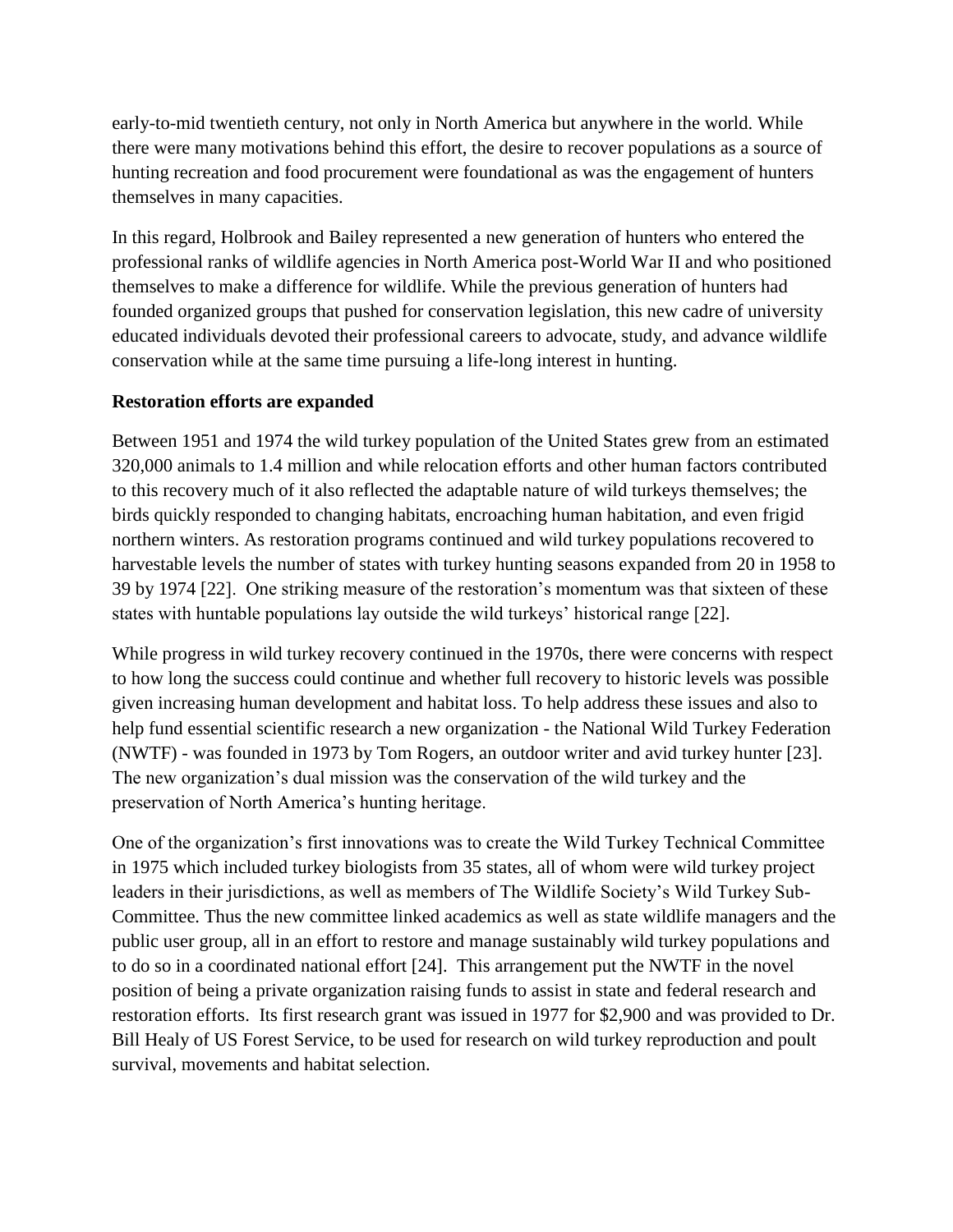early-to-mid twentieth century, not only in North America but anywhere in the world. While there were many motivations behind this effort, the desire to recover populations as a source of hunting recreation and food procurement were foundational as was the engagement of hunters themselves in many capacities.

In this regard, Holbrook and Bailey represented a new generation of hunters who entered the professional ranks of wildlife agencies in North America post-World War II and who positioned themselves to make a difference for wildlife. While the previous generation of hunters had founded organized groups that pushed for conservation legislation, this new cadre of university educated individuals devoted their professional careers to advocate, study, and advance wildlife conservation while at the same time pursuing a life-long interest in hunting.

## **Restoration efforts are expanded**

Between 1951 and 1974 the wild turkey population of the United States grew from an estimated 320,000 animals to 1.4 million and while relocation efforts and other human factors contributed to this recovery much of it also reflected the adaptable nature of wild turkeys themselves; the birds quickly responded to changing habitats, encroaching human habitation, and even frigid northern winters. As restoration programs continued and wild turkey populations recovered to harvestable levels the number of states with turkey hunting seasons expanded from 20 in 1958 to 39 by 1974 [22]. One striking measure of the restoration's momentum was that sixteen of these states with huntable populations lay outside the wild turkeys' historical range [22].

While progress in wild turkey recovery continued in the 1970s, there were concerns with respect to how long the success could continue and whether full recovery to historic levels was possible given increasing human development and habitat loss. To help address these issues and also to help fund essential scientific research a new organization - the National Wild Turkey Federation (NWTF) - was founded in 1973 by Tom Rogers, an outdoor writer and avid turkey hunter [23]. The new organization's dual mission was the conservation of the wild turkey and the preservation of North America's hunting heritage.

One of the organization's first innovations was to create the Wild Turkey Technical Committee in 1975 which included turkey biologists from 35 states, all of whom were wild turkey project leaders in their jurisdictions, as well as members of The Wildlife Society's Wild Turkey Sub-Committee. Thus the new committee linked academics as well as state wildlife managers and the public user group, all in an effort to restore and manage sustainably wild turkey populations and to do so in a coordinated national effort [24]. This arrangement put the NWTF in the novel position of being a private organization raising funds to assist in state and federal research and restoration efforts. Its first research grant was issued in 1977 for \$2,900 and was provided to Dr. Bill Healy of US Forest Service, to be used for research on wild turkey reproduction and poult survival, movements and habitat selection.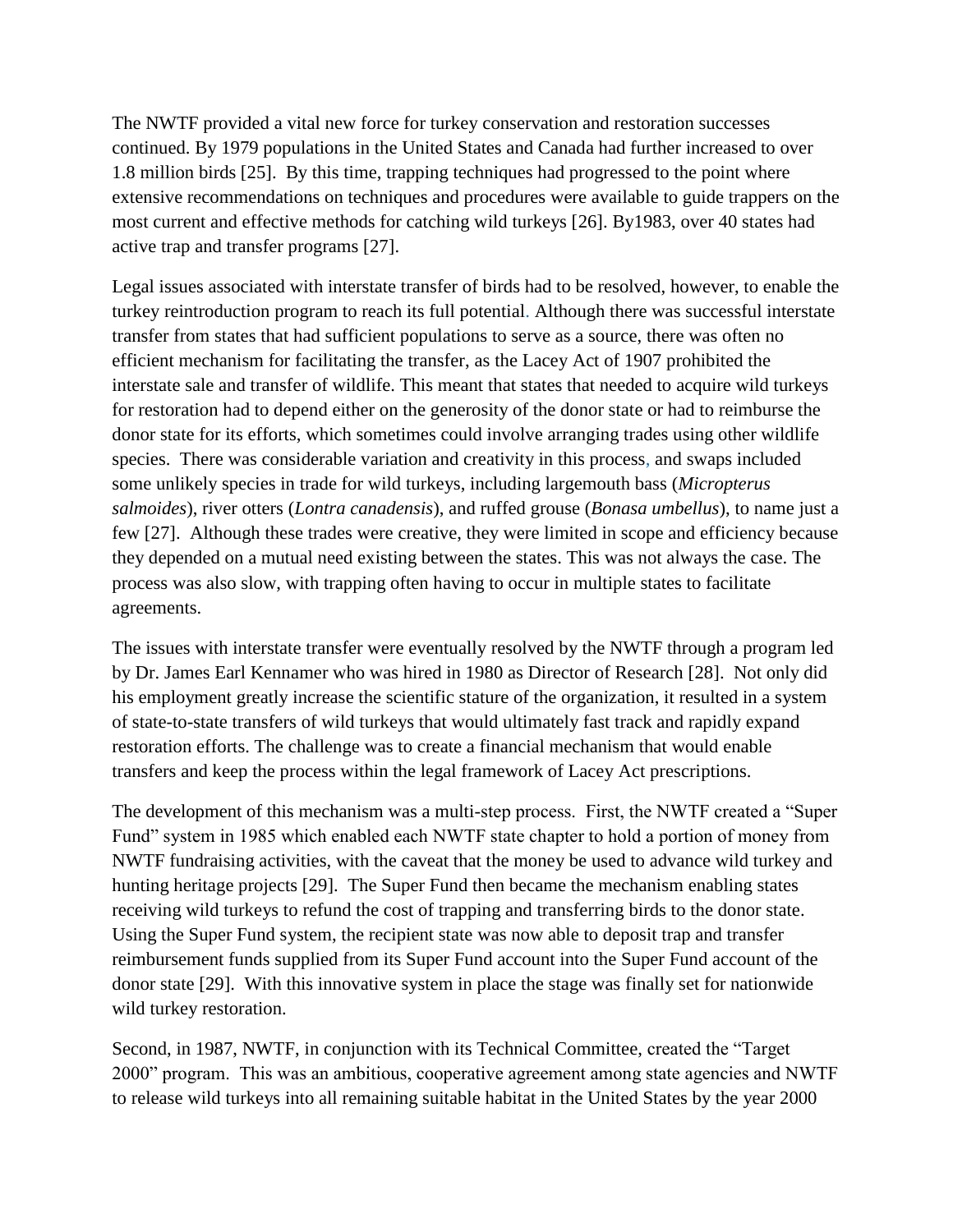The NWTF provided a vital new force for turkey conservation and restoration successes continued. By 1979 populations in the United States and Canada had further increased to over 1.8 million birds [25]. By this time, trapping techniques had progressed to the point where extensive recommendations on techniques and procedures were available to guide trappers on the most current and effective methods for catching wild turkeys [26]. By1983, over 40 states had active trap and transfer programs [27].

Legal issues associated with interstate transfer of birds had to be resolved, however, to enable the turkey reintroduction program to reach its full potential. Although there was successful interstate transfer from states that had sufficient populations to serve as a source, there was often no efficient mechanism for facilitating the transfer, as the Lacey Act of 1907 prohibited the interstate sale and transfer of wildlife. This meant that states that needed to acquire wild turkeys for restoration had to depend either on the generosity of the donor state or had to reimburse the donor state for its efforts, which sometimes could involve arranging trades using other wildlife species. There was considerable variation and creativity in this process, and swaps included some unlikely species in trade for wild turkeys, including largemouth bass (*Micropterus salmoides*), river otters (*Lontra canadensis*), and ruffed grouse (*Bonasa umbellus*), to name just a few [27]. Although these trades were creative, they were limited in scope and efficiency because they depended on a mutual need existing between the states. This was not always the case. The process was also slow, with trapping often having to occur in multiple states to facilitate agreements.

The issues with interstate transfer were eventually resolved by the NWTF through a program led by Dr. James Earl Kennamer who was hired in 1980 as Director of Research [28]. Not only did his employment greatly increase the scientific stature of the organization, it resulted in a system of state-to-state transfers of wild turkeys that would ultimately fast track and rapidly expand restoration efforts. The challenge was to create a financial mechanism that would enable transfers and keep the process within the legal framework of Lacey Act prescriptions.

The development of this mechanism was a multi-step process. First, the NWTF created a "Super Fund" system in 1985 which enabled each NWTF state chapter to hold a portion of money from NWTF fundraising activities, with the caveat that the money be used to advance wild turkey and hunting heritage projects [29]. The Super Fund then became the mechanism enabling states receiving wild turkeys to refund the cost of trapping and transferring birds to the donor state. Using the Super Fund system, the recipient state was now able to deposit trap and transfer reimbursement funds supplied from its Super Fund account into the Super Fund account of the donor state [29]. With this innovative system in place the stage was finally set for nationwide wild turkey restoration.

Second, in 1987, NWTF, in conjunction with its Technical Committee, created the "Target 2000" program. This was an ambitious, cooperative agreement among state agencies and NWTF to release wild turkeys into all remaining suitable habitat in the United States by the year 2000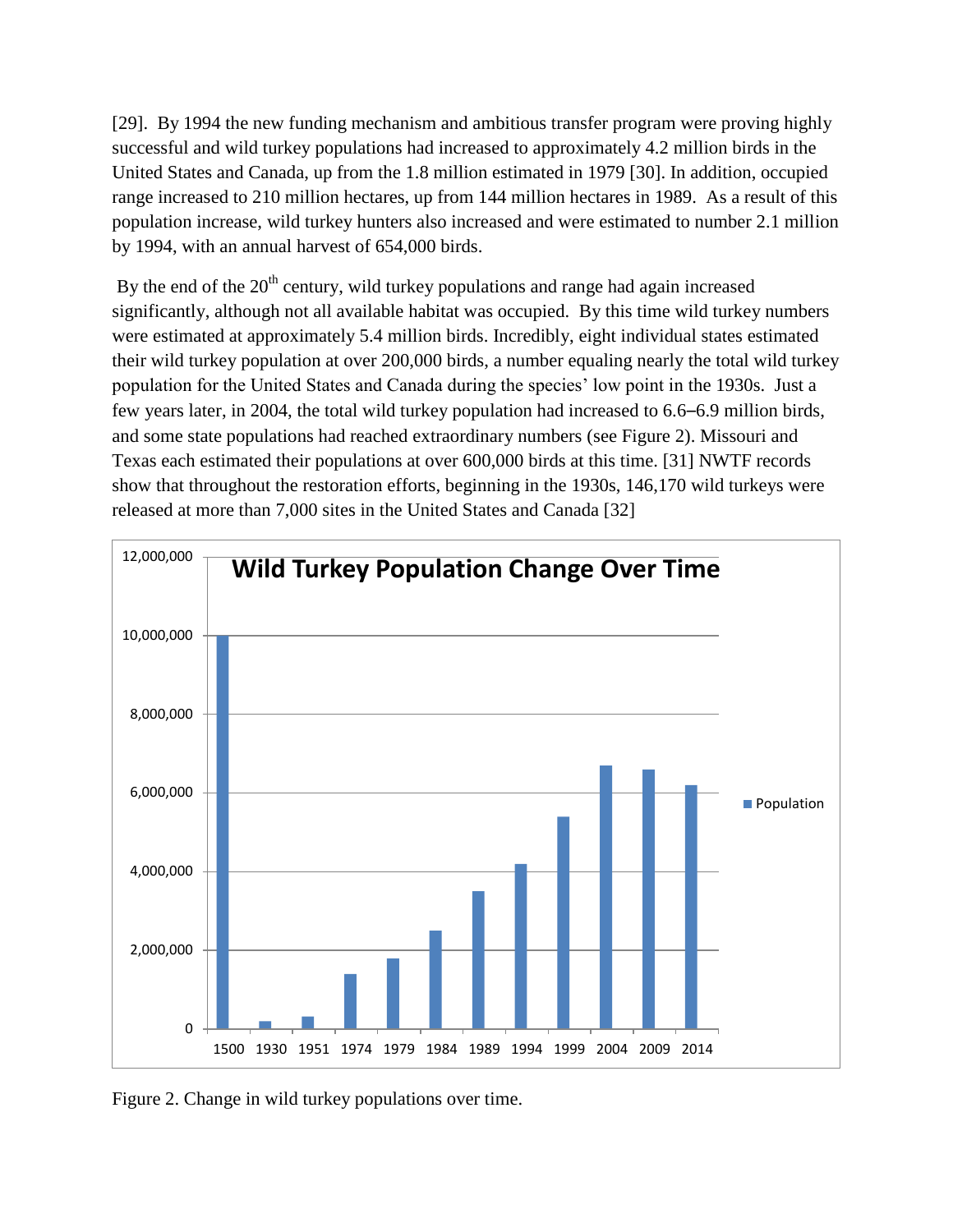[29]. By 1994 the new funding mechanism and ambitious transfer program were proving highly successful and wild turkey populations had increased to approximately 4.2 million birds in the United States and Canada, up from the 1.8 million estimated in 1979 [30]. In addition, occupied range increased to 210 million hectares, up from 144 million hectares in 1989. As a result of this population increase, wild turkey hunters also increased and were estimated to number 2.1 million by 1994, with an annual harvest of 654,000 birds.

By the end of the  $20<sup>th</sup>$  century, wild turkey populations and range had again increased significantly, although not all available habitat was occupied. By this time wild turkey numbers were estimated at approximately 5.4 million birds. Incredibly, eight individual states estimated their wild turkey population at over 200,000 birds, a number equaling nearly the total wild turkey population for the United States and Canada during the species' low point in the 1930s. Just a few years later, in 2004, the total wild turkey population had increased to 6.6–6.9 million birds, and some state populations had reached extraordinary numbers (see Figure 2). Missouri and Texas each estimated their populations at over 600,000 birds at this time. [31] NWTF records show that throughout the restoration efforts, beginning in the 1930s, 146,170 wild turkeys were released at more than 7,000 sites in the United States and Canada [32]



Figure 2. Change in wild turkey populations over time.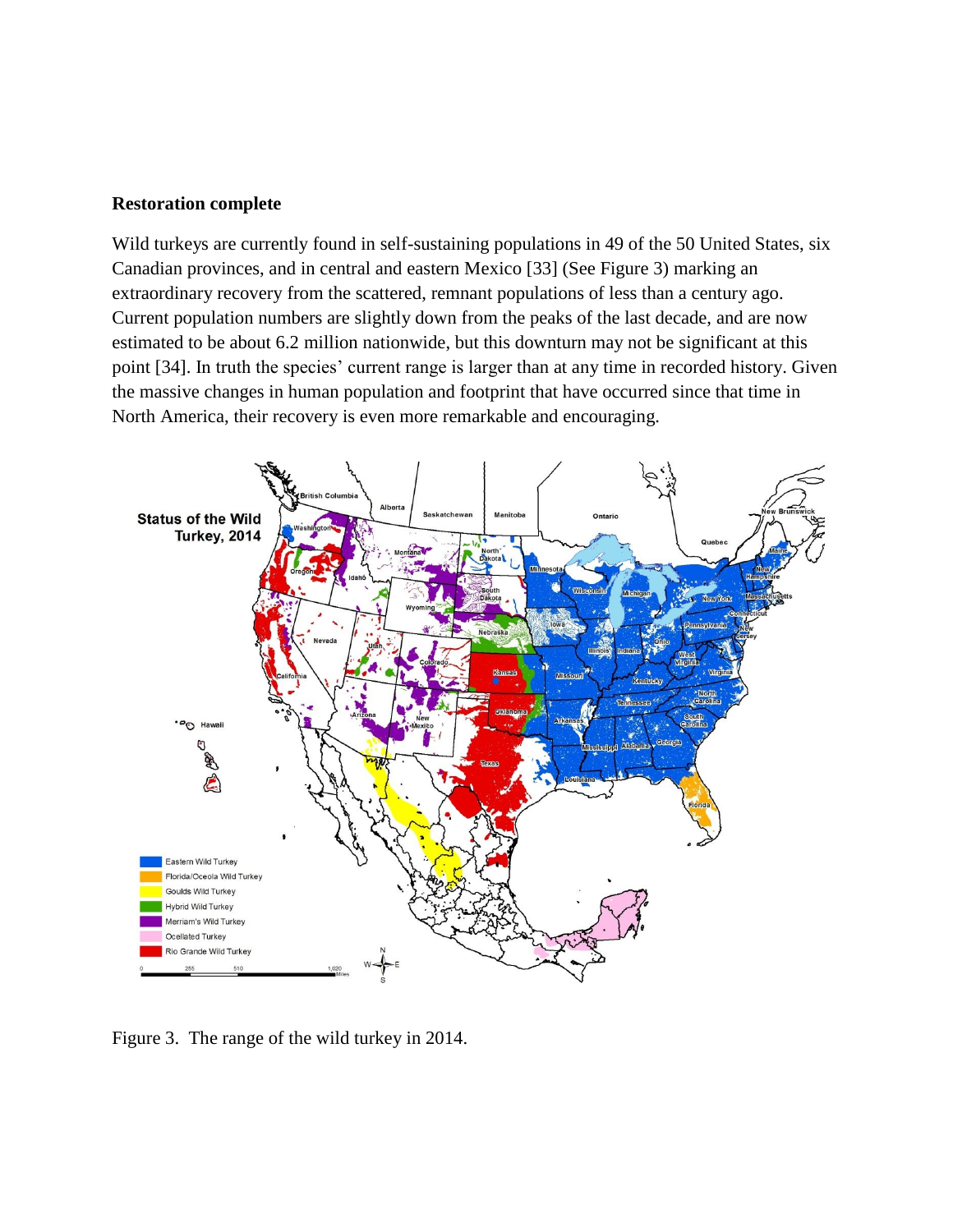#### **Restoration complete**

Wild turkeys are currently found in self-sustaining populations in 49 of the 50 United States, six Canadian provinces, and in central and eastern Mexico [33] (See Figure 3) marking an extraordinary recovery from the scattered, remnant populations of less than a century ago. Current population numbers are slightly down from the peaks of the last decade, and are now estimated to be about 6.2 million nationwide, but this downturn may not be significant at this point [34]. In truth the species' current range is larger than at any time in recorded history. Given the massive changes in human population and footprint that have occurred since that time in North America, their recovery is even more remarkable and encouraging.



Figure 3. The range of the wild turkey in 2014.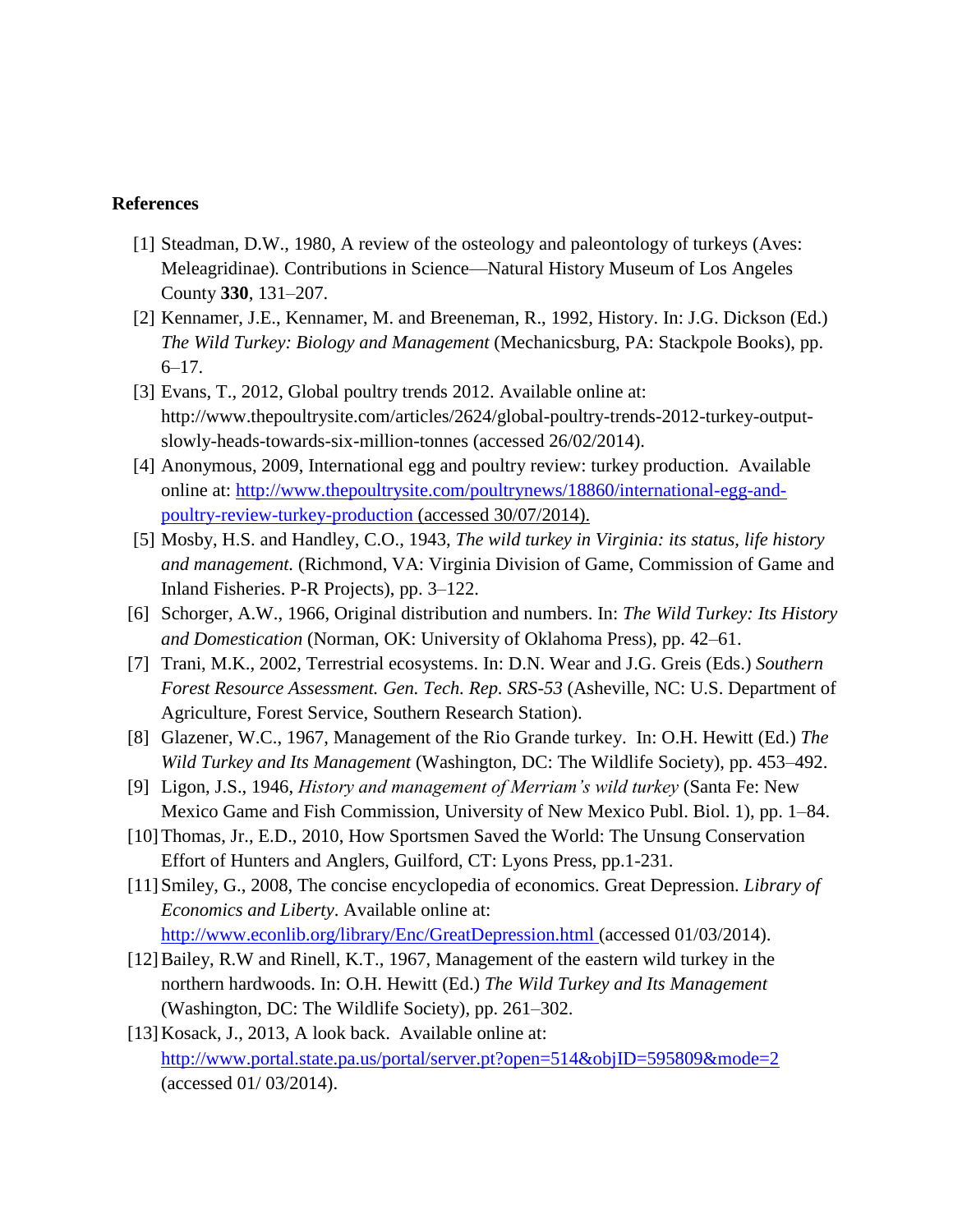#### **References**

- [1] Steadman, D.W., 1980, A review of the osteology and paleontology of turkeys (Aves: Meleagridinae)*.* Contributions in Science—Natural History Museum of Los Angeles County **330**, 131–207.
- [2] Kennamer, J.E., Kennamer, M. and Breeneman, R., 1992, History. In: J.G. Dickson (Ed.) *The Wild Turkey: Biology and Management* (Mechanicsburg, PA: Stackpole Books), pp. 6–17.
- [3] Evans, T., 2012, Global poultry trends 2012. Available online at: http://www.thepoultrysite.com/articles/2624/global-poultry-trends-2012-turkey-outputslowly-heads-towards-six-million-tonnes (accessed 26/02/2014).
- [4] Anonymous, 2009, International egg and poultry review: turkey production. Available online at: [http://www.thepoultrysite.com/poultrynews/18860/international-egg-and](http://www.thepoultrysite.com/poultrynews/18860/international-egg-and-poultry-review-turkey-production)[poultry-review-turkey-production](http://www.thepoultrysite.com/poultrynews/18860/international-egg-and-poultry-review-turkey-production) (accessed 30/07/2014).
- [5] Mosby, H.S. and Handley, C.O., 1943, *The wild turkey in Virginia: its status, life history and management.* (Richmond, VA: Virginia Division of Game, Commission of Game and Inland Fisheries. P-R Projects), pp. 3–122.
- [6] Schorger, A.W., 1966, Original distribution and numbers. In: *The Wild Turkey: Its History and Domestication* (Norman, OK: University of Oklahoma Press), pp. 42–61.
- [7] Trani, M.K., 2002, Terrestrial ecosystems. In: D.N. Wear and J.G. Greis (Eds.) *Southern Forest Resource Assessment. Gen. Tech. Rep. SRS-53* (Asheville, NC: U.S. Department of Agriculture, Forest Service, Southern Research Station).
- [8] Glazener, W.C., 1967, Management of the Rio Grande turkey. In: O.H. Hewitt (Ed.) *The Wild Turkey and Its Management* (Washington, DC: The Wildlife Society), pp. 453–492.
- [9] Ligon, J.S., 1946, *History and management of Merriam's wild turkey* (Santa Fe: New Mexico Game and Fish Commission, University of New Mexico Publ. Biol. 1), pp. 1–84.
- [10]Thomas, Jr., E.D., 2010, How Sportsmen Saved the World: The Unsung Conservation Effort of Hunters and Anglers, Guilford, CT: Lyons Press, pp.1-231.
- [11]Smiley, G., 2008, The concise encyclopedia of economics. Great Depression. *Library of Economics and Liberty*. Available online at: <http://www.econlib.org/library/Enc/GreatDepression.html> (accessed 01/03/2014).
- [12] Bailey, R.W and Rinell, K.T., 1967, Management of the eastern wild turkey in the northern hardwoods. In: O.H. Hewitt (Ed.) *The Wild Turkey and Its Management* (Washington, DC: The Wildlife Society), pp. 261–302.
- [13]Kosack, J., 2013, A look back. Available online at: <http://www.portal.state.pa.us/portal/server.pt?open=514&objID=595809&mode=2> (accessed 01/ 03/2014).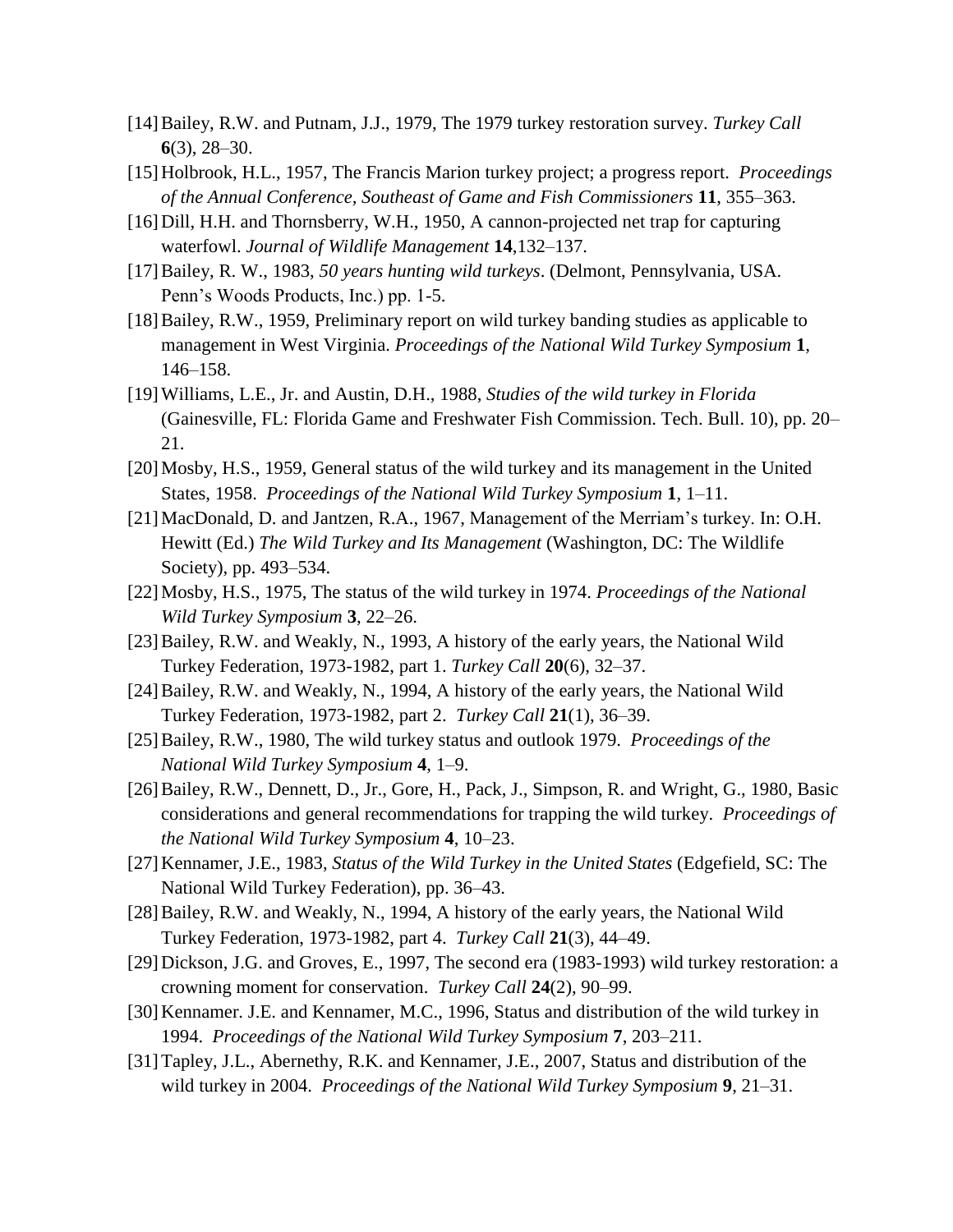- [14]Bailey, R.W. and Putnam, J.J., 1979, The 1979 turkey restoration survey. *Turkey Call* **6**(3), 28–30.
- [15]Holbrook, H.L., 1957, The Francis Marion turkey project; a progress report. *Proceedings of the Annual Conference, Southeast of Game and Fish Commissioners* **11**, 355–363.
- [16] Dill, H.H. and Thornsberry, W.H., 1950, A cannon-projected net trap for capturing waterfowl. *Journal of Wildlife Management* **14**,132–137.
- [17]Bailey, R. W., 1983, *50 years hunting wild turkeys*. (Delmont, Pennsylvania, USA. Penn's Woods Products, Inc.) pp. 1-5.
- [18]Bailey, R.W., 1959, Preliminary report on wild turkey banding studies as applicable to management in West Virginia. *Proceedings of the National Wild Turkey Symposium* **1**, 146–158.
- [19]Williams, L.E., Jr. and Austin, D.H., 1988, *Studies of the wild turkey in Florida* (Gainesville, FL: Florida Game and Freshwater Fish Commission. Tech. Bull. 10), pp. 20– 21.
- [20]Mosby, H.S., 1959, General status of the wild turkey and its management in the United States, 1958. *Proceedings of the National Wild Turkey Symposium* **1**, 1–11.
- [21]MacDonald, D. and Jantzen, R.A., 1967, Management of the Merriam's turkey. In: O.H. Hewitt (Ed.) *The Wild Turkey and Its Management* (Washington, DC: The Wildlife Society), pp. 493–534.
- [22]Mosby, H.S., 1975, The status of the wild turkey in 1974. *Proceedings of the National Wild Turkey Symposium* **3**, 22–26.
- [23] Bailey, R.W. and Weakly, N., 1993, A history of the early years, the National Wild Turkey Federation, 1973-1982, part 1. *Turkey Call* **20**(6), 32–37.
- [24]Bailey, R.W. and Weakly, N., 1994, A history of the early years, the National Wild Turkey Federation, 1973-1982, part 2. *Turkey Call* **21**(1), 36–39.
- [25]Bailey, R.W., 1980, The wild turkey status and outlook 1979. *Proceedings of the National Wild Turkey Symposium* **4**, 1–9.
- [26] Bailey, R.W., Dennett, D., Jr., Gore, H., Pack, J., Simpson, R. and Wright, G., 1980, Basic considerations and general recommendations for trapping the wild turkey. *Proceedings of the National Wild Turkey Symposium* **4**, 10–23.
- [27]Kennamer, J.E., 1983, *Status of the Wild Turkey in the United States* (Edgefield, SC: The National Wild Turkey Federation), pp. 36–43.
- [28]Bailey, R.W. and Weakly, N., 1994, A history of the early years, the National Wild Turkey Federation, 1973-1982, part 4. *Turkey Call* **21**(3), 44–49.
- [29]Dickson, J.G. and Groves, E., 1997, The second era (1983-1993) wild turkey restoration: a crowning moment for conservation. *Turkey Call* **24**(2), 90–99.
- [30] Kennamer. J.E. and Kennamer, M.C., 1996, Status and distribution of the wild turkey in 1994. *Proceedings of the National Wild Turkey Symposium* **7**, 203–211.
- [31]Tapley, J.L., Abernethy, R.K. and Kennamer, J.E., 2007, Status and distribution of the wild turkey in 2004. *Proceedings of the National Wild Turkey Symposium* **9**, 21–31.